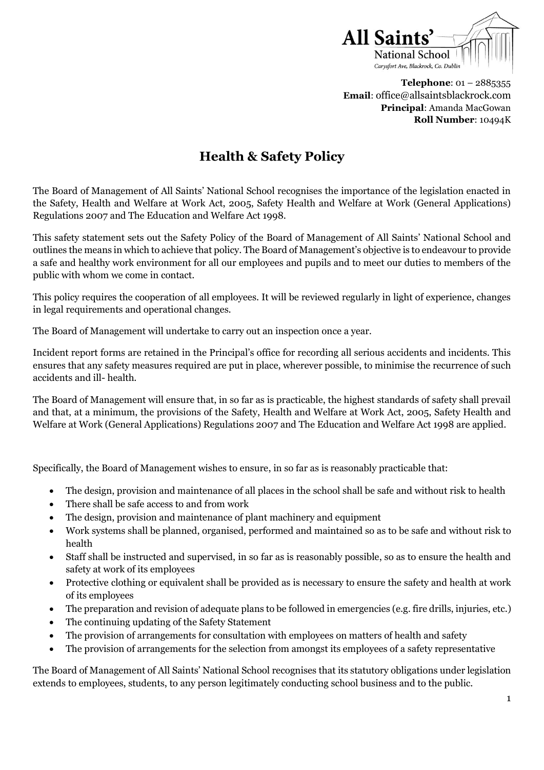

**Telephone**: 01 – 2885355 **Email**: office@allsaintsblackrock.com **Principal**: Amanda MacGowan **Roll Number**: 10494K

# **Health & Safety Policy**

The Board of Management of All Saints' National School recognises the importance of the legislation enacted in the Safety, Health and Welfare at Work Act, 2005, Safety Health and Welfare at Work (General Applications) Regulations 2007 and The Education and Welfare Act 1998.

This safety statement sets out the Safety Policy of the Board of Management of All Saints' National School and outlines the means in which to achieve that policy. The Board of Management's objective is to endeavour to provide a safe and healthy work environment for all our employees and pupils and to meet our duties to members of the public with whom we come in contact.

This policy requires the cooperation of all employees. It will be reviewed regularly in light of experience, changes in legal requirements and operational changes.

The Board of Management will undertake to carry out an inspection once a year.

Incident report forms are retained in the Principal's office for recording all serious accidents and incidents. This ensures that any safety measures required are put in place, wherever possible, to minimise the recurrence of such accidents and ill- health.

The Board of Management will ensure that, in so far as is practicable, the highest standards of safety shall prevail and that, at a minimum, the provisions of the Safety, Health and Welfare at Work Act, 2005, Safety Health and Welfare at Work (General Applications) Regulations 2007 and The Education and Welfare Act 1998 are applied.

Specifically, the Board of Management wishes to ensure, in so far as is reasonably practicable that:

- The design, provision and maintenance of all places in the school shall be safe and without risk to health
- There shall be safe access to and from work
- The design, provision and maintenance of plant machinery and equipment
- Work systems shall be planned, organised, performed and maintained so as to be safe and without risk to health
- Staff shall be instructed and supervised, in so far as is reasonably possible, so as to ensure the health and safety at work of its employees
- Protective clothing or equivalent shall be provided as is necessary to ensure the safety and health at work of its employees
- The preparation and revision of adequate plans to be followed in emergencies (e.g. fire drills, injuries, etc.)
- The continuing updating of the Safety Statement
- The provision of arrangements for consultation with employees on matters of health and safety
- The provision of arrangements for the selection from amongst its employees of a safety representative

The Board of Management of All Saints' National School recognises that its statutory obligations under legislation extends to employees, students, to any person legitimately conducting school business and to the public.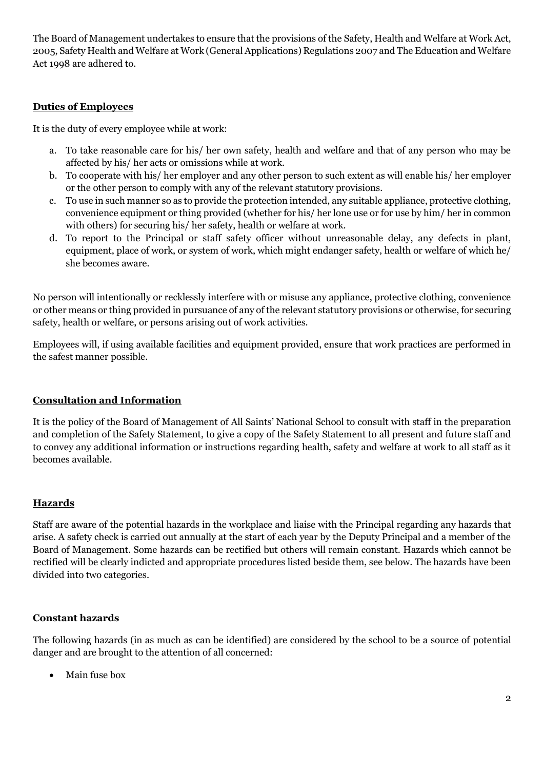The Board of Management undertakes to ensure that the provisions of the Safety, Health and Welfare at Work Act, 2005, Safety Health and Welfare at Work (General Applications) Regulations 2007 and The Education and Welfare Act 1998 are adhered to.

#### **Duties of Employees**

It is the duty of every employee while at work:

- a. To take reasonable care for his/ her own safety, health and welfare and that of any person who may be affected by his/ her acts or omissions while at work.
- b. To cooperate with his/ her employer and any other person to such extent as will enable his/ her employer or the other person to comply with any of the relevant statutory provisions.
- c. To use in such manner so as to provide the protection intended, any suitable appliance, protective clothing, convenience equipment or thing provided (whether for his/ her lone use or for use by him/ her in common with others) for securing his/ her safety, health or welfare at work.
- d. To report to the Principal or staff safety officer without unreasonable delay, any defects in plant, equipment, place of work, or system of work, which might endanger safety, health or welfare of which he/ she becomes aware.

No person will intentionally or recklessly interfere with or misuse any appliance, protective clothing, convenience or other means or thing provided in pursuance of any of the relevant statutory provisions or otherwise, for securing safety, health or welfare, or persons arising out of work activities.

Employees will, if using available facilities and equipment provided, ensure that work practices are performed in the safest manner possible.

#### **Consultation and Information**

It is the policy of the Board of Management of All Saints' National School to consult with staff in the preparation and completion of the Safety Statement, to give a copy of the Safety Statement to all present and future staff and to convey any additional information or instructions regarding health, safety and welfare at work to all staff as it becomes available.

#### **Hazards**

Staff are aware of the potential hazards in the workplace and liaise with the Principal regarding any hazards that arise. A safety check is carried out annually at the start of each year by the Deputy Principal and a member of the Board of Management. Some hazards can be rectified but others will remain constant. Hazards which cannot be rectified will be clearly indicted and appropriate procedures listed beside them, see below. The hazards have been divided into two categories.

#### **Constant hazards**

The following hazards (in as much as can be identified) are considered by the school to be a source of potential danger and are brought to the attention of all concerned:

Main fuse box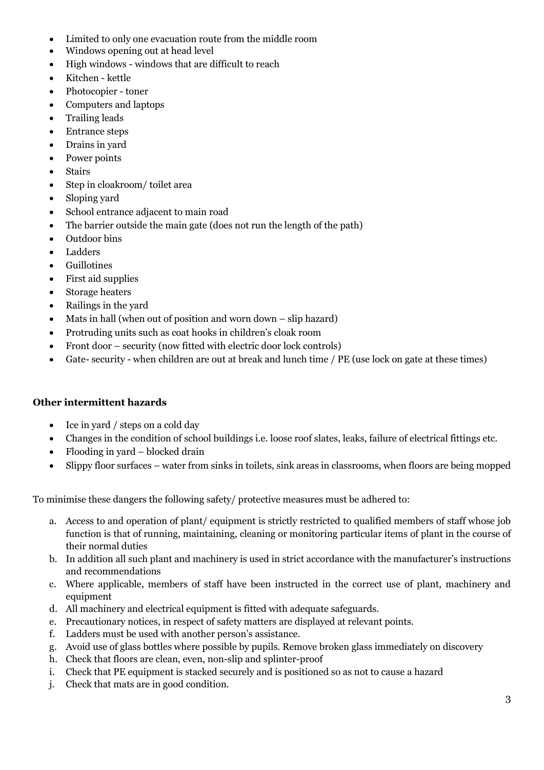- Limited to only one evacuation route from the middle room
- Windows opening out at head level
- High windows windows that are difficult to reach
- Kitchen kettle
- Photocopier toner
- Computers and laptops
- Trailing leads
- Entrance steps
- Drains in yard
- Power points
- Stairs
- Step in cloakroom/ toilet area
- Sloping yard
- School entrance adjacent to main road
- The barrier outside the main gate (does not run the length of the path)
- Outdoor bins
- Ladders
- Guillotines
- First aid supplies
- Storage heaters
- Railings in the yard
- Mats in hall (when out of position and worn down slip hazard)
- Protruding units such as coat hooks in children's cloak room
- Front door security (now fitted with electric door lock controls)
- Gate- security when children are out at break and lunch time / PE (use lock on gate at these times)

#### **Other intermittent hazards**

- Ice in yard / steps on a cold day
- Changes in the condition of school buildings i.e. loose roof slates, leaks, failure of electrical fittings etc.
- Flooding in yard blocked drain
- Slippy floor surfaces water from sinks in toilets, sink areas in classrooms, when floors are being mopped

To minimise these dangers the following safety/ protective measures must be adhered to:

- a. Access to and operation of plant/ equipment is strictly restricted to qualified members of staff whose job function is that of running, maintaining, cleaning or monitoring particular items of plant in the course of their normal duties
- b. In addition all such plant and machinery is used in strict accordance with the manufacturer's instructions and recommendations
- c. Where applicable, members of staff have been instructed in the correct use of plant, machinery and equipment
- d. All machinery and electrical equipment is fitted with adequate safeguards.
- e. Precautionary notices, in respect of safety matters are displayed at relevant points.
- f. Ladders must be used with another person's assistance.
- g. Avoid use of glass bottles where possible by pupils. Remove broken glass immediately on discovery
- h. Check that floors are clean, even, non-slip and splinter-proof
- i. Check that PE equipment is stacked securely and is positioned so as not to cause a hazard
- j. Check that mats are in good condition.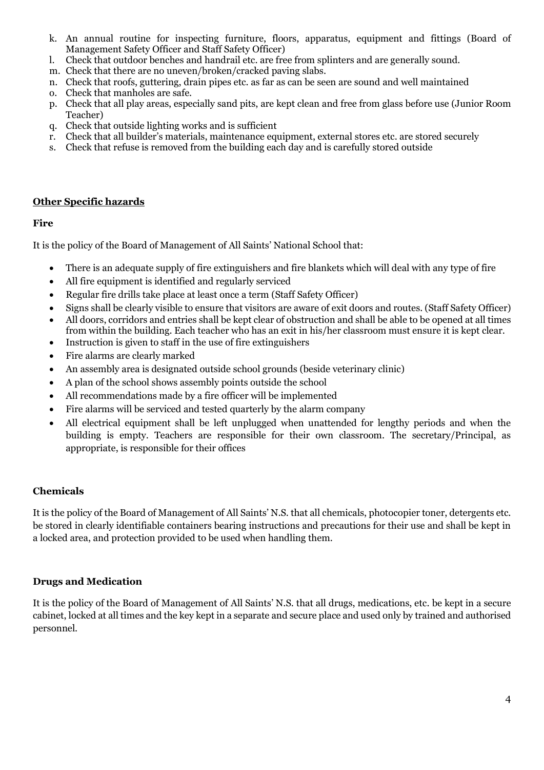- k. An annual routine for inspecting furniture, floors, apparatus, equipment and fittings (Board of Management Safety Officer and Staff Safety Officer)
- l. Check that outdoor benches and handrail etc. are free from splinters and are generally sound.
- m. Check that there are no uneven/broken/cracked paving slabs.
- n. Check that roofs, guttering, drain pipes etc. as far as can be seen are sound and well maintained
- o. Check that manholes are safe.
- p. Check that all play areas, especially sand pits, are kept clean and free from glass before use (Junior Room Teacher)
- q. Check that outside lighting works and is sufficient
- r. Check that all builder's materials, maintenance equipment, external stores etc. are stored securely
- s. Check that refuse is removed from the building each day and is carefully stored outside

#### **Other Specific hazards**

#### **Fire**

It is the policy of the Board of Management of All Saints' National School that:

- There is an adequate supply of fire extinguishers and fire blankets which will deal with any type of fire
- All fire equipment is identified and regularly serviced
- Regular fire drills take place at least once a term (Staff Safety Officer)
- Signs shall be clearly visible to ensure that visitors are aware of exit doors and routes. (Staff Safety Officer)
- All doors, corridors and entries shall be kept clear of obstruction and shall be able to be opened at all times from within the building. Each teacher who has an exit in his/her classroom must ensure it is kept clear.
- Instruction is given to staff in the use of fire extinguishers
- Fire alarms are clearly marked
- An assembly area is designated outside school grounds (beside veterinary clinic)
- A plan of the school shows assembly points outside the school
- All recommendations made by a fire officer will be implemented
- Fire alarms will be serviced and tested quarterly by the alarm company
- All electrical equipment shall be left unplugged when unattended for lengthy periods and when the building is empty. Teachers are responsible for their own classroom. The secretary/Principal, as appropriate, is responsible for their offices

#### **Chemicals**

It is the policy of the Board of Management of All Saints' N.S. that all chemicals, photocopier toner, detergents etc. be stored in clearly identifiable containers bearing instructions and precautions for their use and shall be kept in a locked area, and protection provided to be used when handling them.

#### **Drugs and Medication**

It is the policy of the Board of Management of All Saints' N.S. that all drugs, medications, etc. be kept in a secure cabinet, locked at all times and the key kept in a separate and secure place and used only by trained and authorised personnel.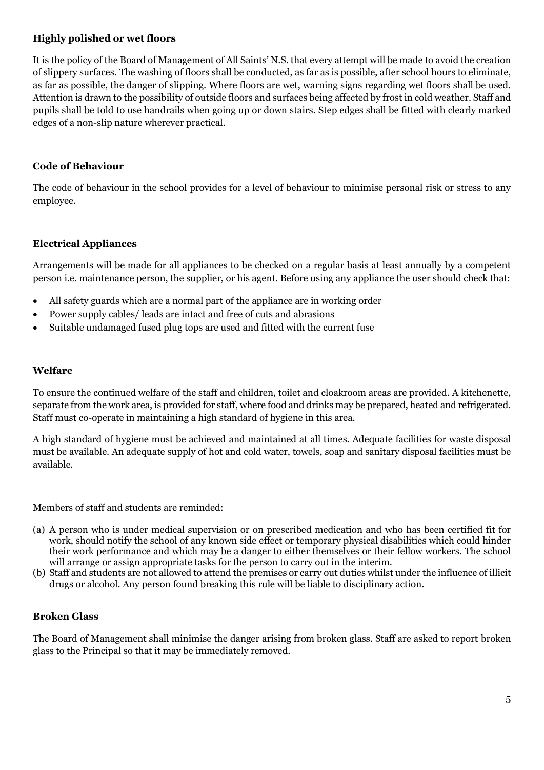#### **Highly polished or wet floors**

It is the policy of the Board of Management of All Saints' N.S. that every attempt will be made to avoid the creation of slippery surfaces. The washing of floors shall be conducted, as far as is possible, after school hours to eliminate, as far as possible, the danger of slipping. Where floors are wet, warning signs regarding wet floors shall be used. Attention is drawn to the possibility of outside floors and surfaces being affected by frost in cold weather. Staff and pupils shall be told to use handrails when going up or down stairs. Step edges shall be fitted with clearly marked edges of a non-slip nature wherever practical.

#### **Code of Behaviour**

The code of behaviour in the school provides for a level of behaviour to minimise personal risk or stress to any employee.

#### **Electrical Appliances**

Arrangements will be made for all appliances to be checked on a regular basis at least annually by a competent person i.e. maintenance person, the supplier, or his agent. Before using any appliance the user should check that:

- All safety guards which are a normal part of the appliance are in working order
- Power supply cables/ leads are intact and free of cuts and abrasions
- Suitable undamaged fused plug tops are used and fitted with the current fuse

#### **Welfare**

To ensure the continued welfare of the staff and children, toilet and cloakroom areas are provided. A kitchenette, separate from the work area, is provided for staff, where food and drinks may be prepared, heated and refrigerated. Staff must co-operate in maintaining a high standard of hygiene in this area.

A high standard of hygiene must be achieved and maintained at all times. Adequate facilities for waste disposal must be available. An adequate supply of hot and cold water, towels, soap and sanitary disposal facilities must be available.

Members of staff and students are reminded:

- (a) A person who is under medical supervision or on prescribed medication and who has been certified fit for work, should notify the school of any known side effect or temporary physical disabilities which could hinder their work performance and which may be a danger to either themselves or their fellow workers. The school will arrange or assign appropriate tasks for the person to carry out in the interim.
- (b) Staff and students are not allowed to attend the premises or carry out duties whilst under the influence of illicit drugs or alcohol. Any person found breaking this rule will be liable to disciplinary action.

#### **Broken Glass**

The Board of Management shall minimise the danger arising from broken glass. Staff are asked to report broken glass to the Principal so that it may be immediately removed.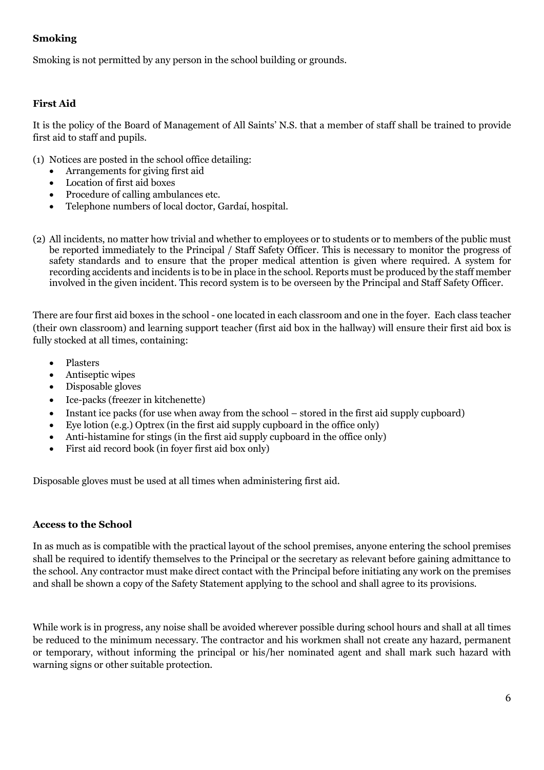#### **Smoking**

Smoking is not permitted by any person in the school building or grounds.

#### **First Aid**

It is the policy of the Board of Management of All Saints' N.S. that a member of staff shall be trained to provide first aid to staff and pupils.

(1) Notices are posted in the school office detailing:

- Arrangements for giving first aid
- Location of first aid boxes
- Procedure of calling ambulances etc.
- Telephone numbers of local doctor, Gardaí, hospital.
- (2) All incidents, no matter how trivial and whether to employees or to students or to members of the public must be reported immediately to the Principal / Staff Safety Officer. This is necessary to monitor the progress of safety standards and to ensure that the proper medical attention is given where required. A system for recording accidents and incidents is to be in place in the school. Reports must be produced by the staff member involved in the given incident. This record system is to be overseen by the Principal and Staff Safety Officer.

There are four first aid boxes in the school - one located in each classroom and one in the foyer. Each class teacher (their own classroom) and learning support teacher (first aid box in the hallway) will ensure their first aid box is fully stocked at all times, containing:

- Plasters
- Antiseptic wipes
- Disposable gloves
- Ice-packs (freezer in kitchenette)
- Instant ice packs (for use when away from the school stored in the first aid supply cupboard)
- Eye lotion (e.g.) Optrex (in the first aid supply cupboard in the office only)
- Anti-histamine for stings (in the first aid supply cupboard in the office only)
- First aid record book (in foyer first aid box only)

Disposable gloves must be used at all times when administering first aid.

#### **Access to the School**

In as much as is compatible with the practical layout of the school premises, anyone entering the school premises shall be required to identify themselves to the Principal or the secretary as relevant before gaining admittance to the school. Any contractor must make direct contact with the Principal before initiating any work on the premises and shall be shown a copy of the Safety Statement applying to the school and shall agree to its provisions.

While work is in progress, any noise shall be avoided wherever possible during school hours and shall at all times be reduced to the minimum necessary. The contractor and his workmen shall not create any hazard, permanent or temporary, without informing the principal or his/her nominated agent and shall mark such hazard with warning signs or other suitable protection.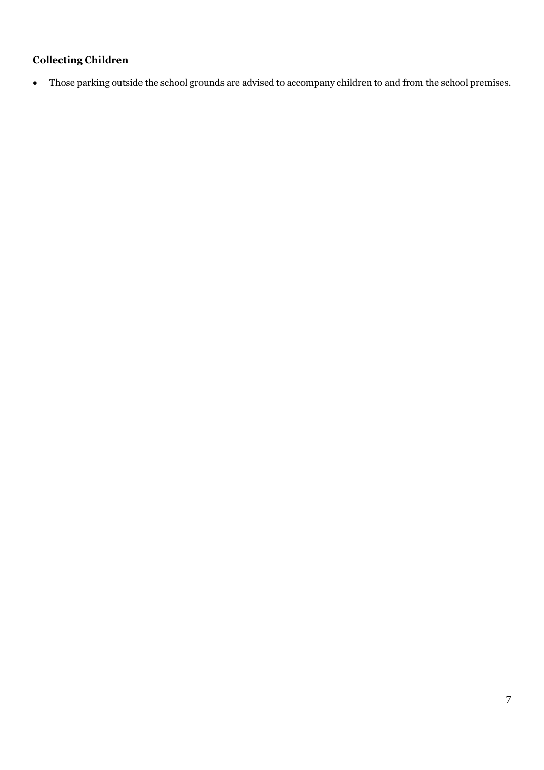# **Collecting Children**

Those parking outside the school grounds are advised to accompany children to and from the school premises.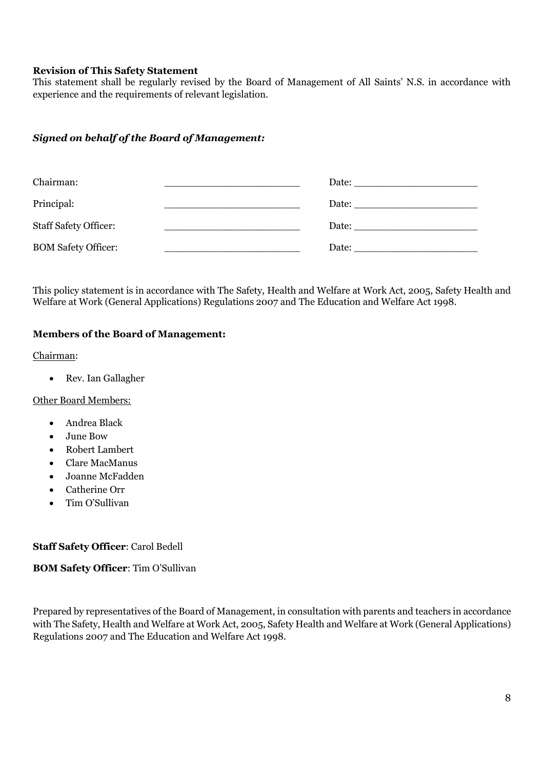#### **Revision of This Safety Statement**

This statement shall be regularly revised by the Board of Management of All Saints' N.S. in accordance with experience and the requirements of relevant legislation.

#### *Signed on behalf of the Board of Management:*

| Chairman:                    | Date: the contract of the contract of the contract of the contract of the contract of the contract of the contract of the contract of the contract of the contract of the contract of the contract of the contract of the cont |
|------------------------------|--------------------------------------------------------------------------------------------------------------------------------------------------------------------------------------------------------------------------------|
| Principal:                   |                                                                                                                                                                                                                                |
| <b>Staff Safety Officer:</b> |                                                                                                                                                                                                                                |
| <b>BOM Safety Officer:</b>   | Date: the contract of the contract of the contract of the contract of the contract of the contract of the contract of the contract of the contract of the contract of the contract of the contract of the contract of the cont |

This policy statement is in accordance with The Safety, Health and Welfare at Work Act, 2005, Safety Health and Welfare at Work (General Applications) Regulations 2007 and The Education and Welfare Act 1998.

#### **Members of the Board of Management:**

Chairman:

• Rev. Ian Gallagher

Other Board Members:

- Andrea Black
- June Bow
- Robert Lambert
- Clare MacManus
- Joanne McFadden
- Catherine Orr
- Tim O'Sullivan

#### **Staff Safety Officer**: Carol Bedell

**BOM Safety Officer**: Tim O'Sullivan

Prepared by representatives of the Board of Management, in consultation with parents and teachers in accordance with The Safety, Health and Welfare at Work Act, 2005, Safety Health and Welfare at Work (General Applications) Regulations 2007 and The Education and Welfare Act 1998.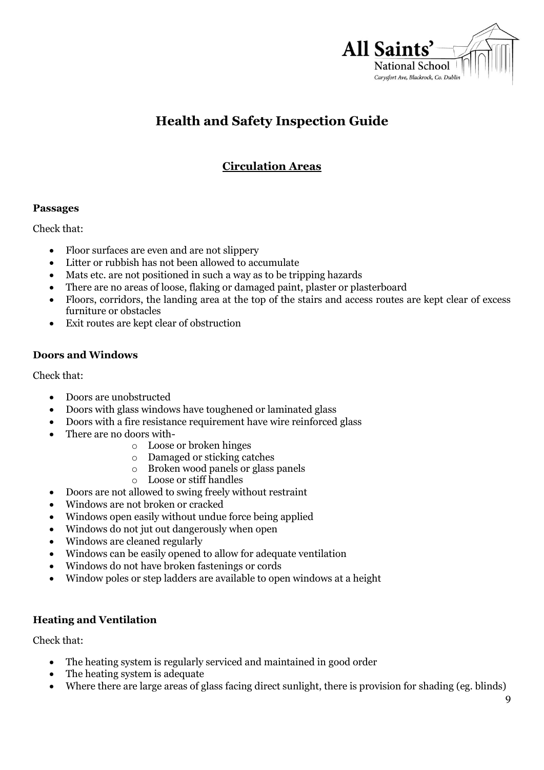

# **Health and Safety Inspection Guide**

# **Circulation Areas**

#### **Passages**

Check that:

- Floor surfaces are even and are not slippery
- Litter or rubbish has not been allowed to accumulate
- Mats etc. are not positioned in such a way as to be tripping hazards
- There are no areas of loose, flaking or damaged paint, plaster or plasterboard
- Floors, corridors, the landing area at the top of the stairs and access routes are kept clear of excess furniture or obstacles
- Exit routes are kept clear of obstruction

#### **Doors and Windows**

Check that:

- Doors are unobstructed
- Doors with glass windows have toughened or laminated glass
- Doors with a fire resistance requirement have wire reinforced glass
- There are no doors with
	- o Loose or broken hinges
	- o Damaged or sticking catches
	- o Broken wood panels or glass panels
	- o Loose or stiff handles
- Doors are not allowed to swing freely without restraint
- Windows are not broken or cracked
- Windows open easily without undue force being applied
- Windows do not jut out dangerously when open
- Windows are cleaned regularly
- Windows can be easily opened to allow for adequate ventilation
- Windows do not have broken fastenings or cords
- Window poles or step ladders are available to open windows at a height

#### **Heating and Ventilation**

Check that:

- The heating system is regularly serviced and maintained in good order
- The heating system is adequate
- Where there are large areas of glass facing direct sunlight, there is provision for shading (eg. blinds)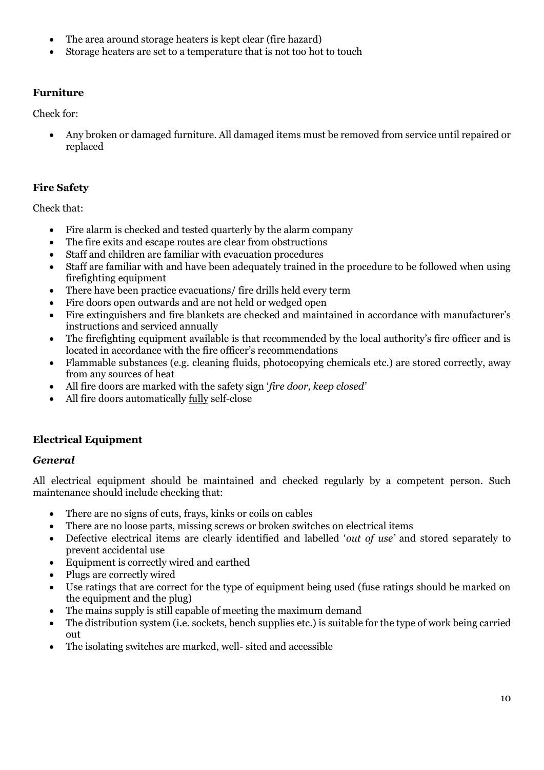- The area around storage heaters is kept clear (fire hazard)
- Storage heaters are set to a temperature that is not too hot to touch

## **Furniture**

Check for:

 Any broken or damaged furniture. All damaged items must be removed from service until repaired or replaced

## **Fire Safety**

Check that:

- Fire alarm is checked and tested quarterly by the alarm company
- The fire exits and escape routes are clear from obstructions
- Staff and children are familiar with evacuation procedures
- Staff are familiar with and have been adequately trained in the procedure to be followed when using firefighting equipment
- There have been practice evacuations/ fire drills held every term
- Fire doors open outwards and are not held or wedged open
- Fire extinguishers and fire blankets are checked and maintained in accordance with manufacturer's instructions and serviced annually
- The firefighting equipment available is that recommended by the local authority's fire officer and is located in accordance with the fire officer's recommendations
- Flammable substances (e.g. cleaning fluids, photocopying chemicals etc.) are stored correctly, away from any sources of heat
- All fire doors are marked with the safety sign '*fire door, keep closed'*
- All fire doors automatically fully self-close

# **Electrical Equipment**

## *General*

All electrical equipment should be maintained and checked regularly by a competent person. Such maintenance should include checking that:

- There are no signs of cuts, frays, kinks or coils on cables
- There are no loose parts, missing screws or broken switches on electrical items
- Defective electrical items are clearly identified and labelled '*out of use'* and stored separately to prevent accidental use
- Equipment is correctly wired and earthed
- Plugs are correctly wired
- Use ratings that are correct for the type of equipment being used (fuse ratings should be marked on the equipment and the plug)
- The mains supply is still capable of meeting the maximum demand
- The distribution system (i.e. sockets, bench supplies etc.) is suitable for the type of work being carried out
- The isolating switches are marked, well- sited and accessible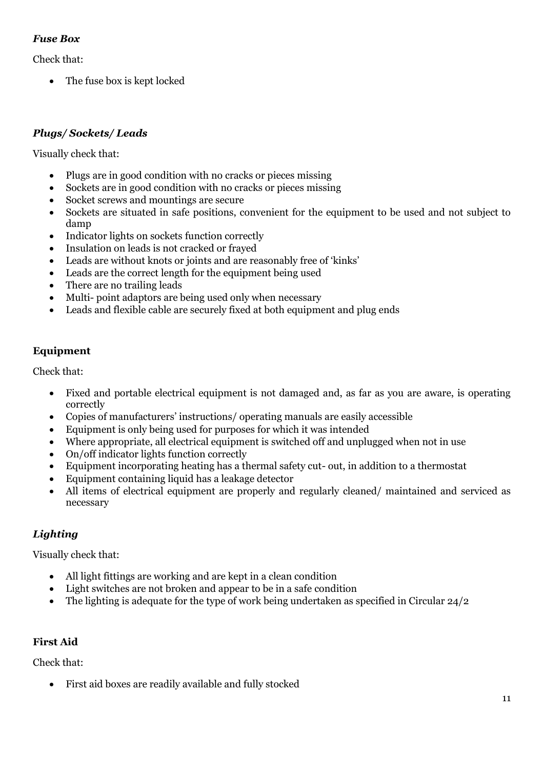### *Fuse Box*

Check that:

• The fuse box is kept locked

### *Plugs/ Sockets/ Leads*

Visually check that:

- Plugs are in good condition with no cracks or pieces missing
- Sockets are in good condition with no cracks or pieces missing
- Socket screws and mountings are secure
- Sockets are situated in safe positions, convenient for the equipment to be used and not subject to damp
- Indicator lights on sockets function correctly
- Insulation on leads is not cracked or frayed
- Leads are without knots or joints and are reasonably free of 'kinks'
- Leads are the correct length for the equipment being used
- There are no trailing leads
- Multi- point adaptors are being used only when necessary
- Leads and flexible cable are securely fixed at both equipment and plug ends

#### **Equipment**

Check that:

- Fixed and portable electrical equipment is not damaged and, as far as you are aware, is operating correctly
- Copies of manufacturers' instructions/ operating manuals are easily accessible
- Equipment is only being used for purposes for which it was intended
- Where appropriate, all electrical equipment is switched off and unplugged when not in use
- On/off indicator lights function correctly
- Equipment incorporating heating has a thermal safety cut- out, in addition to a thermostat
- Equipment containing liquid has a leakage detector
- All items of electrical equipment are properly and regularly cleaned/ maintained and serviced as necessary

#### *Lighting*

Visually check that:

- All light fittings are working and are kept in a clean condition
- Light switches are not broken and appear to be in a safe condition
- The lighting is adequate for the type of work being undertaken as specified in Circular 24/2

#### **First Aid**

Check that:

First aid boxes are readily available and fully stocked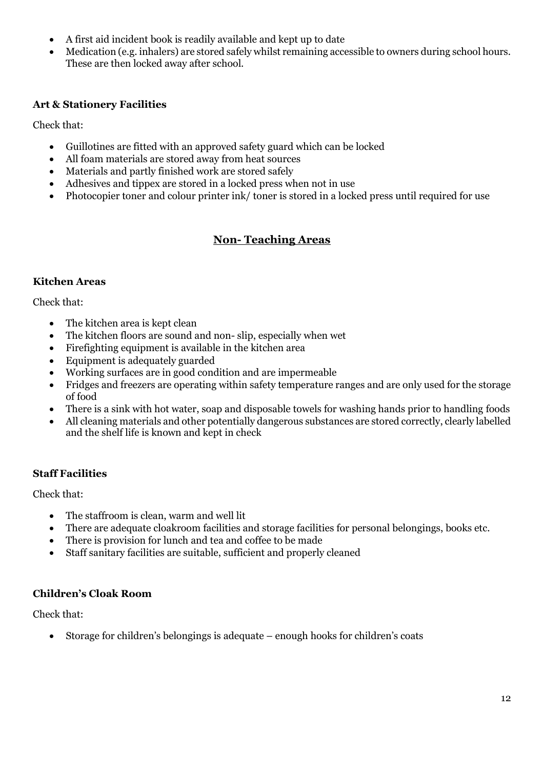- A first aid incident book is readily available and kept up to date
- Medication (e.g. inhalers) are stored safely whilst remaining accessible to owners during school hours. These are then locked away after school.

#### **Art & Stationery Facilities**

Check that:

- Guillotines are fitted with an approved safety guard which can be locked
- All foam materials are stored away from heat sources
- Materials and partly finished work are stored safely
- Adhesives and tippex are stored in a locked press when not in use
- Photocopier toner and colour printer ink/ toner is stored in a locked press until required for use

# **Non- Teaching Areas**

#### **Kitchen Areas**

Check that:

- The kitchen area is kept clean
- The kitchen floors are sound and non- slip, especially when wet
- Firefighting equipment is available in the kitchen area
- Equipment is adequately guarded
- Working surfaces are in good condition and are impermeable
- Fridges and freezers are operating within safety temperature ranges and are only used for the storage of food
- There is a sink with hot water, soap and disposable towels for washing hands prior to handling foods
- All cleaning materials and other potentially dangerous substances are stored correctly, clearly labelled and the shelf life is known and kept in check

#### **Staff Facilities**

Check that:

- The staffroom is clean, warm and well lit
- There are adequate cloakroom facilities and storage facilities for personal belongings, books etc.
- There is provision for lunch and tea and coffee to be made
- Staff sanitary facilities are suitable, sufficient and properly cleaned

#### **Children's Cloak Room**

Check that:

Storage for children's belongings is adequate – enough hooks for children's coats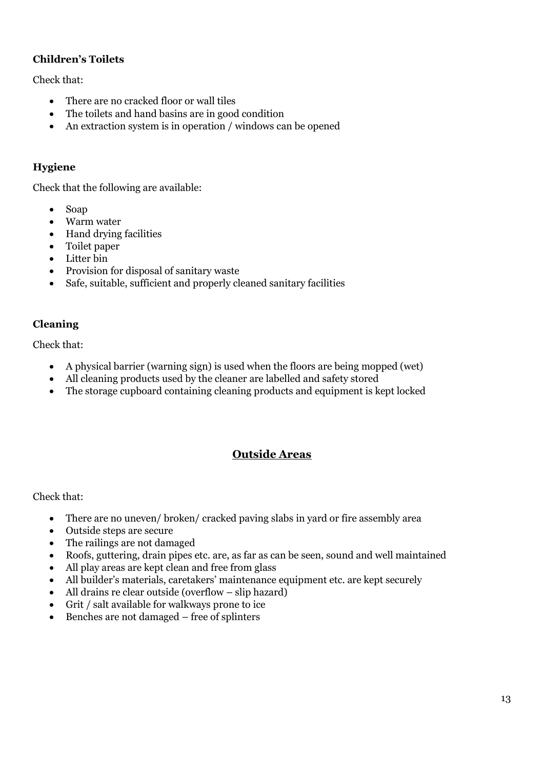### **Children's Toilets**

Check that:

- There are no cracked floor or wall tiles
- The toilets and hand basins are in good condition
- An extraction system is in operation / windows can be opened

### **Hygiene**

Check that the following are available:

- Soap
- Warm water
- Hand drying facilities
- Toilet paper
- Litter bin
- Provision for disposal of sanitary waste
- Safe, suitable, sufficient and properly cleaned sanitary facilities

### **Cleaning**

Check that:

- A physical barrier (warning sign) is used when the floors are being mopped (wet)
- All cleaning products used by the cleaner are labelled and safety stored
- The storage cupboard containing cleaning products and equipment is kept locked

# **Outside Areas**

Check that:

- There are no uneven/ broken/ cracked paving slabs in yard or fire assembly area
- Outside steps are secure
- The railings are not damaged
- Roofs, guttering, drain pipes etc. are, as far as can be seen, sound and well maintained
- All play areas are kept clean and free from glass
- All builder's materials, caretakers' maintenance equipment etc. are kept securely
- All drains re clear outside (overflow slip hazard)
- Grit / salt available for walkways prone to ice
- Benches are not damaged free of splinters